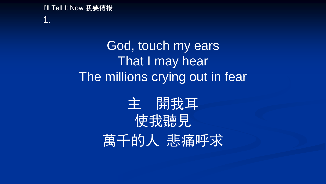## I'll Tell It Now 我要傳揚 1.

## God, touch my ears That I may hear The millions crying out in fear

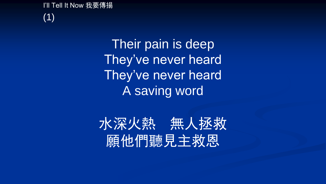I'll Tell It Now 我要傳揚 (1)

> Their pain is deep They've never heard They've never heard A saving word

水深火熱 無人拯救 願他們聽見主救恩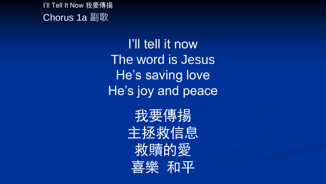I'll Tell It Now 我要傳揚 Chorus 1a 副歌

> I'll tell it now The word is Jesus He's saving love He's joy and peace

> > 我要傳揚 主拯救信息 救贖的愛 喜樂 和平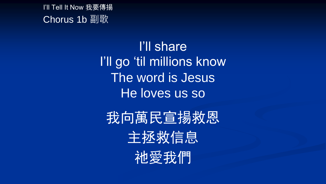I'll Tell It Now 我要傳揚 Chorus 1b 副歌

> I'll share I'll go 'til millions know The word is Jesus He loves us so

我向萬民宣揚救恩 主拯救信息 祂愛我們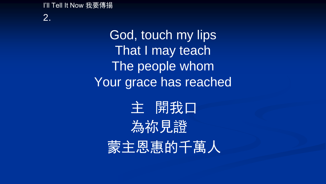I'll Tell It Now 我要傳揚

2.

God, touch my lips That I may teach The people whom Your grace has reached

主 開我口 為祢見證 蒙主恩惠的千萬人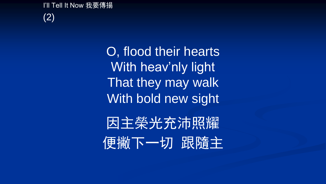I'll Tell It Now 我要傳揚 (2)

> O, flood their hearts With heav'nly light That they may walk With bold new sight

因主榮光充沛照耀 便撇下一切 跟隨主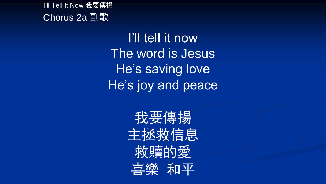I'll Tell It Now 我要傳揚 Chorus 2a 副歌

> I'll tell it now The word is Jesus He's saving love He's joy and peace

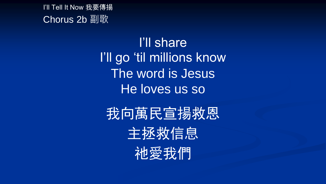I'll Tell It Now 我要傳揚 Chorus 2b 副歌

> I'll share I'll go 'til millions know The word is Jesus He loves us so

我向萬民宣揚救恩

主拯救信息

祂愛我們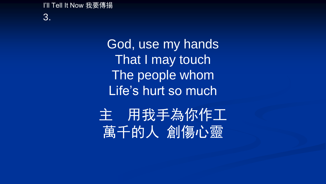I'll Tell It Now 我要傳揚 3.

> God, use my hands That I may touch The people whom Life's hurt so much

主 用我手為你作工 萬千的人 創傷心靈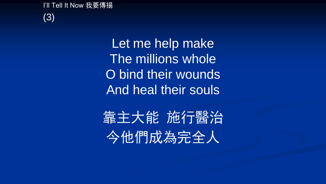I'll Tell It Now 我要傳揚 (3)

> Let me help make The millions whole O bind their wounds And heal their souls

靠主大能 施行醫治 今他們成為完全人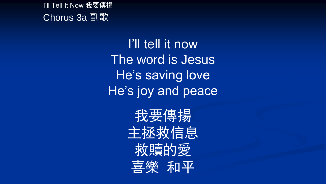I'll Tell It Now 我要傳揚 Chorus 3a 副歌

> I'll tell it now The word is Jesus He's saving love He's joy and peace

> > 我要傳揚 主拯救信息 救贖的愛 喜樂 和平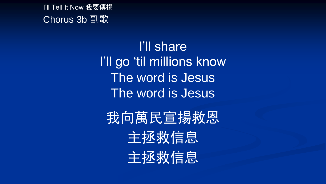I'll Tell It Now 我要傳揚 Chorus 3b 副歌

> I'll share I'll go 'til millions know The word is Jesus The word is Jesus

我向萬民宣揚救恩 主拯救信息 主拯救信息